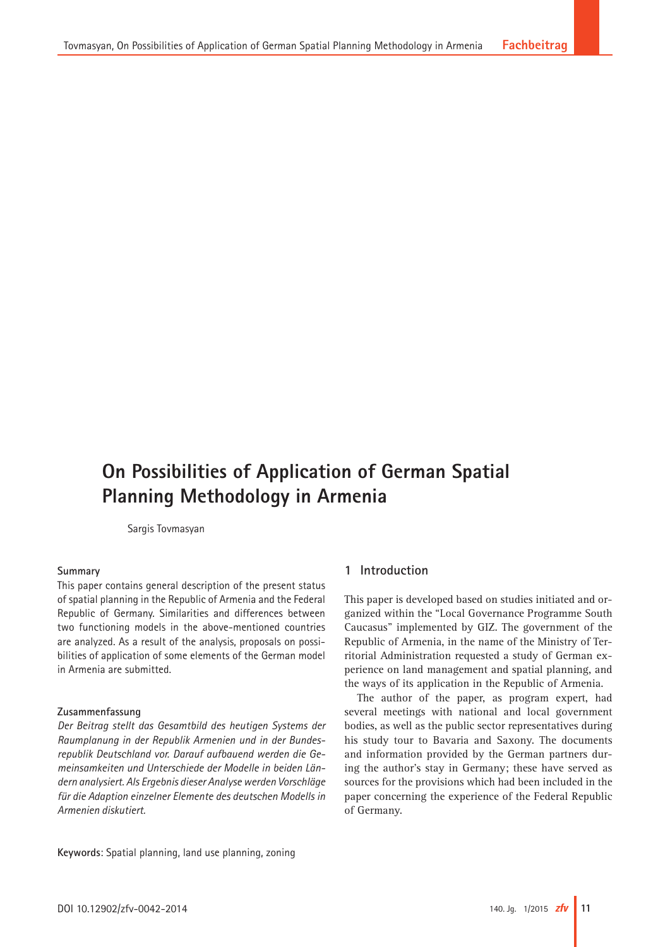# **On Possibilities of Application of German Spatial Planning Methodology in Armenia**

Sargis Tovmasyan

## **Summary**

This paper contains general description of the present status of spatial planning in the Republic of Armenia and the Federal Republic of Germany. Similarities and differences between two functioning models in the above-mentioned countries are analyzed. As a result of the analysis, proposals on possibilities of application of some elements of the German model in Armenia are submitted.

## **Zusammenfassung**

*Der Beitrag stellt das Gesamtbild des heutigen Systems der Raumplanung in der Republik Armenien und in der Bundesrepublik Deutschland vor. Darauf aufbauend werden die Gemeinsamkeiten und Unterschiede der Modelle in beiden Ländern analysiert. Als Ergebnis dieser Analyse werden Vorschläge für die Adaption einzelner Elemente des deutschen Modells in Armenien diskutiert.*

**Keywords**: Spatial planning, land use planning, zoning

## **1 Introduction**

This paper is developed based on studies initiated and organized within the "Local Governance Programme South Caucasus" implemented by GIZ. The government of the Republic of Armenia, in the name of the Ministry of Territorial Administration requested a study of German experience on land management and spatial planning, and the ways of its application in the Republic of Armenia.

The author of the paper, as program expert, had several meetings with national and local government bodies, as well as the public sector representatives during his study tour to Bavaria and Saxony. The documents and information provided by the German partners during the author's stay in Germany; these have served as sources for the provisions which had been included in the paper concerning the experience of the Federal Republic of Germany.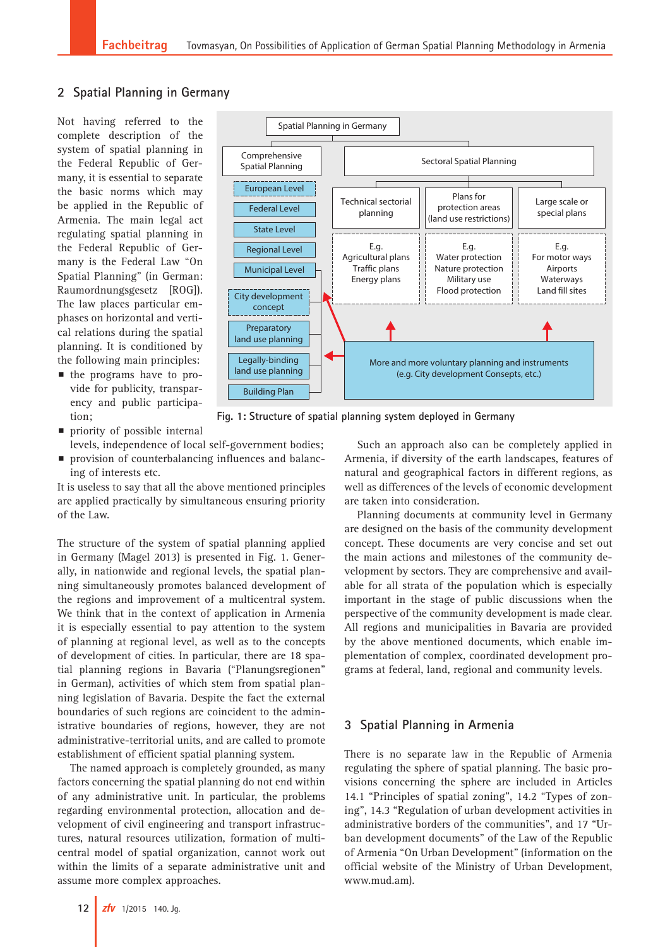# **2 Spatial Planning in Germany**

Not having referred to the complete description of the system of spatial planning in the Federal Republic of Germany, it is essential to separate the basic norms which may be applied in the Republic of Armenia. The main legal act regulating spatial planning in the Federal Republic of Germany is the Federal Law "On Spatial Planning" (in German: Raumordnungsgesetz [ROG]). The law places particular emphases on horizontal and vertical relations during the spatial planning. It is conditioned by the following main principles:

**n** the programs have to provide for publicity, transparency and public participation;



**Fig. 1: Structure of spatial planning system deployed in Germany**

- $\blacksquare$  priority of possible internal levels, independence of local self-government bodies;
- **Peropensist provision of counterbalancing influences and balanc**ing of interests etc.

It is useless to say that all the above mentioned principles are applied practically by simultaneous ensuring priority of the Law.

The structure of the system of spatial planning applied in Germany (Magel 2013) is presented in Fig. 1. Generally, in nationwide and regional levels, the spatial planning simultaneously promotes balanced development of the regions and improvement of a multicentral system. We think that in the context of application in Armenia it is especially essential to pay attention to the system of planning at regional level, as well as to the concepts of development of cities. In particular, there are 18 spatial planning regions in Bavaria ("Planungsregionen" in German), activities of which stem from spatial planning legislation of Bavaria. Despite the fact the external boundaries of such regions are coincident to the administrative boundaries of regions, however, they are not administrative-territorial units, and are called to promote establishment of efficient spatial planning system.

The named approach is completely grounded, as many factors concerning the spatial planning do not end within of any administrative unit. In particular, the problems regarding environmental protection, allocation and development of civil engineering and transport infrastructures, natural resources utilization, formation of multicentral model of spatial organization, cannot work out within the limits of a separate administrative unit and assume more complex approaches.

Such an approach also can be completely applied in Armenia, if diversity of the earth landscapes, features of natural and geographical factors in different regions, as well as differences of the levels of economic development are taken into consideration.

Planning documents at community level in Germany are designed on the basis of the community development concept. These documents are very concise and set out the main actions and milestones of the community development by sectors. They are comprehensive and available for all strata of the population which is especially important in the stage of public discussions when the perspective of the community development is made clear. All regions and municipalities in Bavaria are provided by the above mentioned documents, which enable implementation of complex, coordinated development programs at federal, land, regional and community levels.

## **3 Spatial Planning in Armenia**

There is no separate law in the Republic of Armenia regulating the sphere of spatial planning. The basic provisions concerning the sphere are included in Articles 14.1 "Principles of spatial zoning", 14.2 "Types of zoning", 14.3 "Regulation of urban development activities in administrative borders of the communities", and 17 "Urban development documents" of the Law of the Republic of Armenia "On Urban Development" (information on the official website of the Ministry of Urban Development, [www.mud.am](http://www.mud.am)).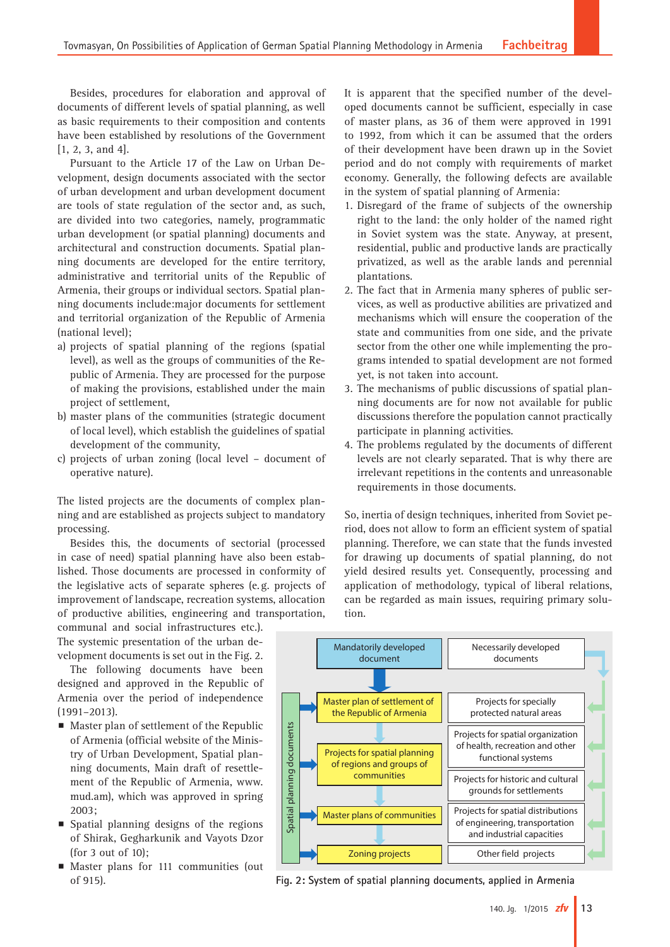Besides, procedures for elaboration and approval of documents of different levels of spatial planning, as well as basic requirements to their composition and contents have been established by resolutions of the Government [1, 2, 3, and 4].

Pursuant to the Article 17 of the Law on Urban Development, design documents associated with the sector of urban development and urban development document are tools of state regulation of the sector and, as such, are divided into two categories, namely, programmatic urban development (or spatial planning) documents and architectural and construction documents. Spatial planning documents are developed for the entire territory, administrative and territorial units of the Republic of Armenia, their groups or individual sectors. Spatial planning documents include:major documents for settlement and territorial organization of the Republic of Armenia (national level);

- a) projects of spatial planning of the regions (spatial level), as well as the groups of communities of the Republic of Armenia. They are processed for the purpose of making the provisions, established under the main project of settlement,
- b) master plans of the communities (strategic document of local level), which establish the guidelines of spatial development of the community,
- c) projects of urban zoning (local level document of operative nature).

The listed projects are the documents of complex planning and are established as projects subject to mandatory processing.

Besides this, the documents of sectorial (processed in case of need) spatial planning have also been established. Those documents are processed in conformity of the legislative acts of separate spheres (e.g. projects of improvement of landscape, recreation systems, allocation of productive abilities, engineering and transportation,

communal and social infrastructures etc.). The systemic presentation of the urban development documents is set out in the Fig. 2.

The following documents have been designed and approved in the Republic of Armenia over the period of independence (1991–2013).

- $\blacksquare$  Master plan of settlement of the Republic of Armenia (official website of the Ministry of Urban Development, Spatial planning documents, Main draft of resettlement of the Republic of Armenia, [www.](http://www.mud.am) [mud.am](http://www.mud.am)), which was approved in spring 2003;
- $\blacksquare$  Spatial planning designs of the regions of Shirak, Gegharkunik and Vayots Dzor (for 3 out of 10);
- **Master plans for 111 communities (out** of 915).

It is apparent that the specified number of the developed documents cannot be sufficient, especially in case of master plans, as 36 of them were approved in 1991 to 1992, from which it can be assumed that the orders of their development have been drawn up in the Soviet period and do not comply with requirements of market economy. Generally, the following defects are available in the system of spatial planning of Armenia:

- 1. Disregard of the frame of subjects of the ownership right to the land: the only holder of the named right in Soviet system was the state. Anyway, at present, residential, public and productive lands are practically privatized, as well as the arable lands and perennial plantations.
- 2. The fact that in Armenia many spheres of public services, as well as productive abilities are privatized and mechanisms which will ensure the cooperation of the state and communities from one side, and the private sector from the other one while implementing the programs intended to spatial development are not formed yet, is not taken into account.
- 3. The mechanisms of public discussions of spatial planning documents are for now not available for public discussions therefore the population cannot practically participate in planning activities.
- 4. The problems regulated by the documents of different levels are not clearly separated. That is why there are irrelevant repetitions in the contents and unreasonable requirements in those documents.

So, inertia of design techniques, inherited from Soviet period, does not allow to form an efficient system of spatial planning. Therefore, we can state that the funds invested for drawing up documents of spatial planning, do not yield desired results yet. Consequently, processing and application of methodology, typical of liberal relations, can be regarded as main issues, requiring primary solution.



**Fig. 2: System of spatial planning documents, applied in Armenia**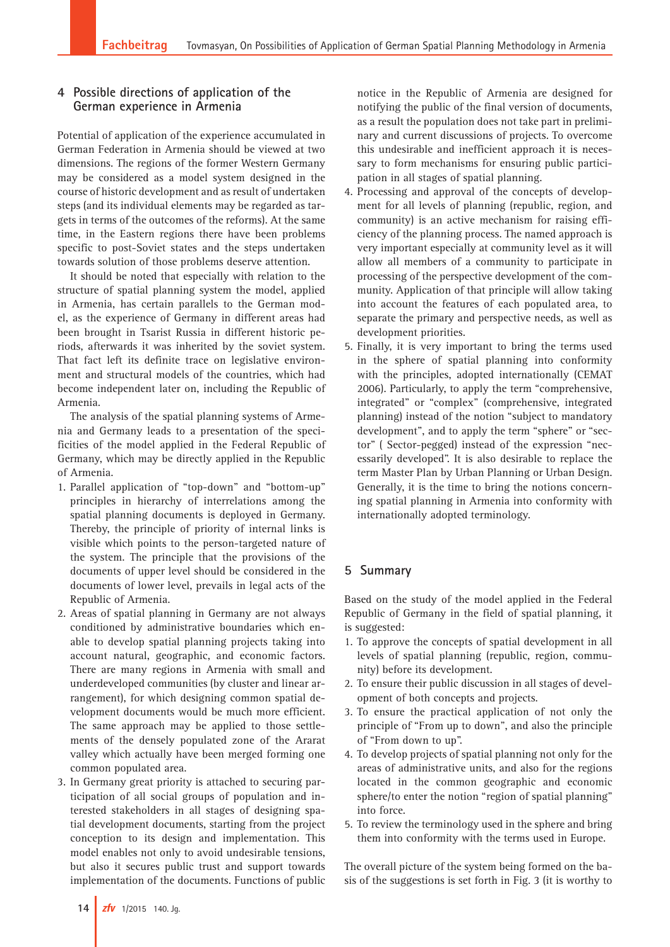## **4 Possible directions of application of the German experience in Armenia**

Potential of application of the experience accumulated in German Federation in Armenia should be viewed at two dimensions. The regions of the former Western Germany may be considered as a model system designed in the course of historic development and as result of undertaken steps (and its individual elements may be regarded as targets in terms of the outcomes of the reforms). At the same time, in the Eastern regions there have been problems specific to post-Soviet states and the steps undertaken towards solution of those problems deserve attention.

It should be noted that especially with relation to the structure of spatial planning system the model, applied in Armenia, has certain parallels to the German model, as the experience of Germany in different areas had been brought in Tsarist Russia in different historic periods, afterwards it was inherited by the soviet system. That fact left its definite trace on legislative environment and structural models of the countries, which had become independent later on, including the Republic of Armenia.

The analysis of the spatial planning systems of Armenia and Germany leads to a presentation of the specificities of the model applied in the Federal Republic of Germany, which may be directly applied in the Republic of Armenia.

- 1. Parallel application of "top-down" and "bottom-up" principles in hierarchy of interrelations among the spatial planning documents is deployed in Germany. Thereby, the principle of priority of internal links is visible which points to the person-targeted nature of the system. The principle that the provisions of the documents of upper level should be considered in the documents of lower level, prevails in legal acts of the Republic of Armenia.
- 2. Areas of spatial planning in Germany are not always conditioned by administrative boundaries which enable to develop spatial planning projects taking into account natural, geographic, and economic factors. There are many regions in Armenia with small and underdeveloped communities (by cluster and linear arrangement), for which designing common spatial development documents would be much more efficient. The same approach may be applied to those settlements of the densely populated zone of the Ararat valley which actually have been merged forming one common populated area.
- 3. In Germany great priority is attached to securing participation of all social groups of population and interested stakeholders in all stages of designing spatial development documents, starting from the project conception to its design and implementation. This model enables not only to avoid undesirable tensions, but also it secures public trust and support towards implementation of the documents. Functions of public

notice in the Republic of Armenia are designed for notifying the public of the final version of documents, as a result the population does not take part in preliminary and current discussions of projects. To overcome this undesirable and inefficient approach it is necessary to form mechanisms for ensuring public participation in all stages of spatial planning.

- 4. Processing and approval of the concepts of development for all levels of planning (republic, region, and community) is an active mechanism for raising efficiency of the planning process. The named approach is very important especially at community level as it will allow all members of a community to participate in processing of the perspective development of the community. Application of that principle will allow taking into account the features of each populated area, to separate the primary and perspective needs, as well as development priorities.
- 5. Finally, it is very important to bring the terms used in the sphere of spatial planning into conformity with the principles, adopted internationally (CEMAT 2006). Particularly, to apply the term "comprehensive, integrated" or "complex" (comprehensive, integrated planning) instead of the notion "subject to mandatory development", and to apply the term "sphere" or "sector" ( Sector-pegged) instead of the expression "necessarily developed". It is also desirable to replace the term Master Plan by Urban Planning or Urban Design. Generally, it is the time to bring the notions concerning spatial planning in Armenia into conformity with internationally adopted terminology.

# **5 Summary**

Based on the study of the model applied in the Federal Republic of Germany in the field of spatial planning, it is suggested:

- 1. To approve the concepts of spatial development in all levels of spatial planning (republic, region, community) before its development.
- 2. To ensure their public discussion in all stages of development of both concepts and projects.
- 3. To ensure the practical application of not only the principle of "From up to down", and also the principle of "From down to up".
- 4. To develop projects of spatial planning not only for the areas of administrative units, and also for the regions located in the common geographic and economic sphere/to enter the notion "region of spatial planning" into force.
- 5. To review the terminology used in the sphere and bring them into conformity with the terms used in Europe.

The overall picture of the system being formed on the basis of the suggestions is set forth in Fig. 3 (it is worthy to